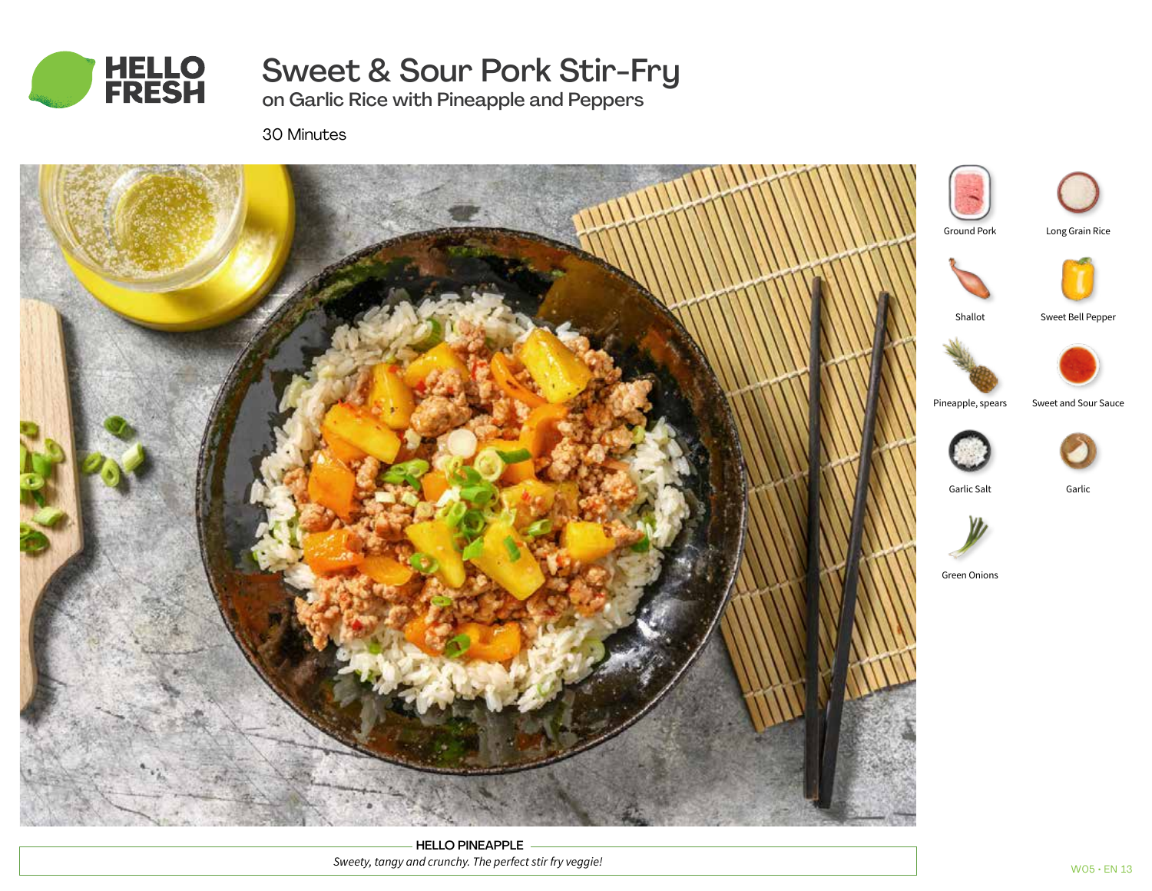

Sweet & Sour Pork Stir-Fry

on Garlic Rice with Pineapple and Peppers

30 Minutes



HELLO PINEAPPLE *Sweety, tangy and crunchy. The perfect stir fry veggie!*